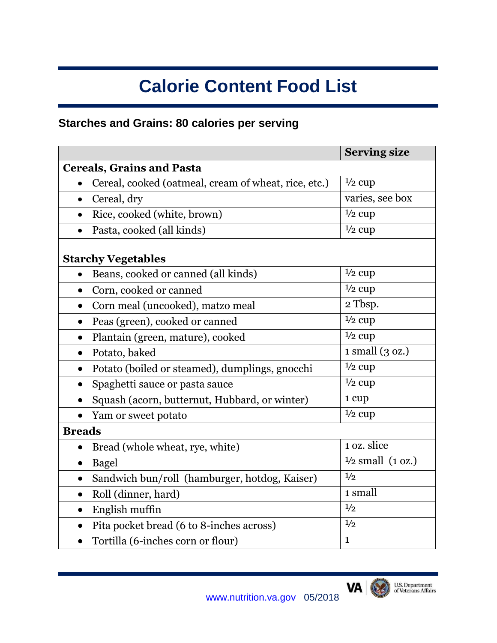# **Calorie Content Food List**

# **Starches and Grains: 80 calories per serving**

|                                                             | <b>Serving size</b>                            |
|-------------------------------------------------------------|------------------------------------------------|
| <b>Cereals, Grains and Pasta</b>                            |                                                |
| Cereal, cooked (oatmeal, cream of wheat, rice, etc.)        | $\frac{1}{2}$ cup                              |
| Cereal, dry<br>$\bullet$                                    | varies, see box                                |
| Rice, cooked (white, brown)                                 | $\frac{1}{2}$ cup                              |
| Pasta, cooked (all kinds)<br>$\bullet$                      | $1/2$ cup                                      |
| <b>Starchy Vegetables</b>                                   |                                                |
| Beans, cooked or canned (all kinds)<br>$\bullet$            | $\frac{1}{2}$ cup                              |
| Corn, cooked or canned                                      | $\frac{1}{2}$ cup                              |
| Corn meal (uncooked), matzo meal<br>$\bullet$               | 2 Tbsp.                                        |
| Peas (green), cooked or canned<br>$\bullet$                 | $\frac{1}{2}$ cup                              |
| Plantain (green, mature), cooked<br>$\bullet$               | $\frac{1}{2}$ cup                              |
| Potato, baked<br>$\bullet$                                  | $1 \text{ small } (3 \text{ oz.})$             |
| Potato (boiled or steamed), dumplings, gnocchi<br>$\bullet$ | $\frac{1}{2}$ cup                              |
| Spaghetti sauce or pasta sauce<br>$\bullet$                 | $\frac{1}{2}$ cup                              |
| Squash (acorn, butternut, Hubbard, or winter)               | 1 cup                                          |
| Yam or sweet potato                                         | $\frac{1}{2}$ cup                              |
| <b>Breads</b>                                               |                                                |
| Bread (whole wheat, rye, white)                             | $\overline{1}$ oz. slice                       |
| Bagel<br>$\bullet$                                          | $\overline{\frac{1}{2} \text{ small}}$ (1 oz.) |
| Sandwich bun/roll (hamburger, hotdog, Kaiser)<br>$\bullet$  | 1/2                                            |
| Roll (dinner, hard)<br>$\bullet$                            | 1 small                                        |
| English muffin<br>$\bullet$                                 | 1/2                                            |
| Pita pocket bread (6 to 8-inches across)<br>$\bullet$       | 1/2                                            |
| Tortilla (6-inches corn or flour)<br>$\bullet$              | $\mathbf{1}$                                   |

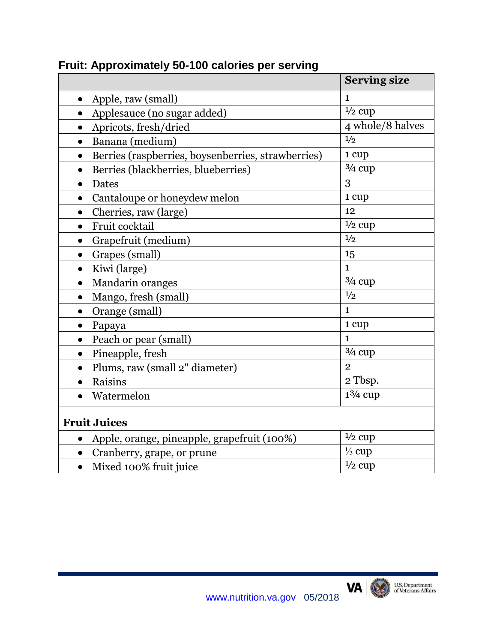|                                                                 | <b>Serving size</b> |
|-----------------------------------------------------------------|---------------------|
| Apple, raw (small)<br>$\bullet$                                 | $\mathbf{1}$        |
| Applesauce (no sugar added)                                     | $1/2$ cup           |
| Apricots, fresh/dried                                           | 4 whole/8 halves    |
| Banana (medium)                                                 | 1/2                 |
| Berries (raspberries, boysenberries, strawberries)<br>$\bullet$ | 1 cup               |
| Berries (blackberries, blueberries)<br>$\bullet$                | $3/4$ cup           |
| Dates<br>$\bullet$                                              | 3                   |
| Cantaloupe or honeydew melon                                    | 1 cup               |
| Cherries, raw (large)<br>$\bullet$                              | 12                  |
| Fruit cocktail                                                  | $\frac{1}{2}$ cup   |
| Grapefruit (medium)<br>$\bullet$                                | 1/2                 |
| Grapes (small)<br>$\bullet$                                     | 15                  |
| Kiwi (large)<br>$\bullet$                                       | $\mathbf{1}$        |
| Mandarin oranges<br>$\bullet$                                   | $3/4$ cup           |
| Mango, fresh (small)<br>$\bullet$                               | 1/2                 |
| Orange (small)                                                  | $\mathbf{1}$        |
| Papaya<br>$\bullet$                                             | 1 cup               |
| Peach or pear (small)                                           | $\mathbf{1}$        |
| Pineapple, fresh<br>$\bullet$                                   | $3/4$ cup           |
| Plums, raw (small 2" diameter)                                  | $\overline{2}$      |
| Raisins<br>$\bullet$                                            | 2 Tbsp.             |
| Watermelon                                                      | $1\frac{3}{4}$ cup  |
| <b>Fruit Juices</b>                                             |                     |
| Apple, orange, pineapple, grapefruit (100%)                     | $\frac{1}{2}$ cup   |
| Cranberry, grape, or prune                                      | $\frac{1}{3}$ cup   |
| Mixed 100% fruit juice<br>$\bullet$                             | $\frac{1}{2}$ cup   |

#### **Fruit: Approximately 50-100 calories per serving**

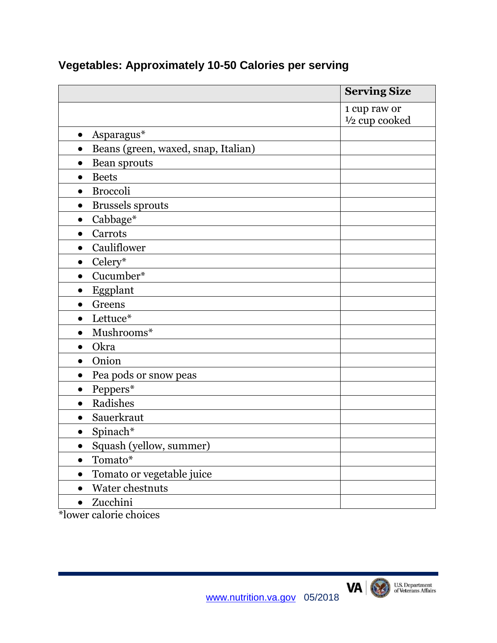|                                                  | <b>Serving Size</b>      |
|--------------------------------------------------|--------------------------|
|                                                  | 1 cup raw or             |
|                                                  | $\frac{1}{2}$ cup cooked |
| Asparagus*<br>$\bullet$                          |                          |
| Beans (green, waxed, snap, Italian)<br>$\bullet$ |                          |
| Bean sprouts<br>$\bullet$                        |                          |
| <b>Beets</b><br>$\bullet$                        |                          |
| <b>Broccoli</b>                                  |                          |
| <b>Brussels</b> sprouts                          |                          |
| Cabbage*<br>$\bullet$                            |                          |
| Carrots<br>$\bullet$                             |                          |
| Cauliflower<br>$\bullet$                         |                          |
| Celery*<br>$\bullet$                             |                          |
| Cucumber*<br>$\bullet$                           |                          |
| Eggplant<br>$\bullet$                            |                          |
| Greens<br>$\bullet$                              |                          |
| Lettuce*<br>$\bullet$                            |                          |
| Mushrooms*<br>$\bullet$                          |                          |
| Okra                                             |                          |
| Onion<br>$\bullet$                               |                          |
| Pea pods or snow peas<br>$\bullet$               |                          |
| Peppers*<br>$\bullet$                            |                          |
| Radishes<br>$\bullet$                            |                          |
| Sauerkraut<br>$\bullet$                          |                          |
| Spinach*<br>$\bullet$                            |                          |
| Squash (yellow, summer)<br>$\bullet$             |                          |
| Tomato*<br>$\bullet$                             |                          |
| Tomato or vegetable juice<br>$\bullet$           |                          |
| Water chestnuts<br>$\bullet$                     |                          |
| Zucchini<br>$\bullet$                            |                          |

# **Vegetables: Approximately 10-50 Calories per serving**

\*lower calorie choices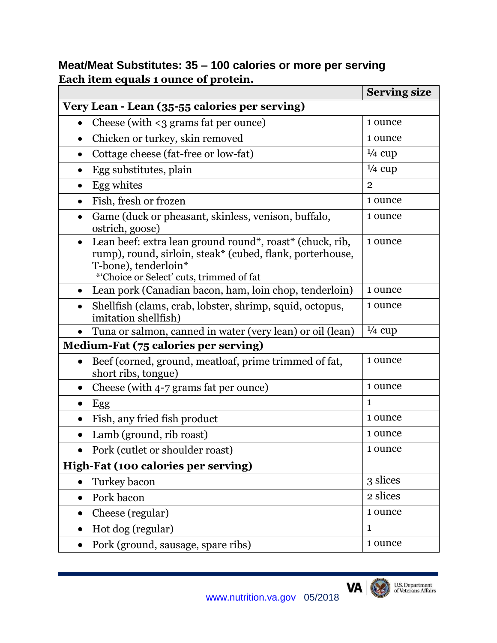## **Meat/Meat Substitutes: 35 – 100 calories or more per serving Each item equals 1 ounce of protein.**

|                                                                                                                                                                                                        | <b>Serving size</b> |
|--------------------------------------------------------------------------------------------------------------------------------------------------------------------------------------------------------|---------------------|
| Very Lean - Lean (35-55 calories per serving)                                                                                                                                                          |                     |
| Cheese (with $\leq$ grams fat per ounce)<br>$\bullet$                                                                                                                                                  | 1 ounce             |
| Chicken or turkey, skin removed<br>$\bullet$                                                                                                                                                           | 1 ounce             |
| Cottage cheese (fat-free or low-fat)<br>$\bullet$                                                                                                                                                      | $\frac{1}{4}$ cup   |
| Egg substitutes, plain<br>$\bullet$                                                                                                                                                                    | $\frac{1}{4}$ cup   |
| Egg whites<br>$\bullet$                                                                                                                                                                                | $\overline{2}$      |
| Fish, fresh or frozen<br>$\bullet$                                                                                                                                                                     | 1 ounce             |
| Game (duck or pheasant, skinless, venison, buffalo,<br>$\bullet$<br>ostrich, goose)                                                                                                                    | 1 ounce             |
| Lean beef: extra lean ground round*, roast* (chuck, rib,<br>$\bullet$<br>rump), round, sirloin, steak* (cubed, flank, porterhouse,<br>T-bone), tenderloin*<br>*'Choice or Select' cuts, trimmed of fat | 1 ounce             |
| Lean pork (Canadian bacon, ham, loin chop, tenderloin)                                                                                                                                                 | 1 ounce             |
| Shellfish (clams, crab, lobster, shrimp, squid, octopus,<br>imitation shellfish)                                                                                                                       | 1 ounce             |
| Tuna or salmon, canned in water (very lean) or oil (lean)                                                                                                                                              | $\frac{1}{4}$ cup   |
| Medium-Fat (75 calories per serving)                                                                                                                                                                   |                     |
| Beef (corned, ground, meatloaf, prime trimmed of fat,<br>short ribs, tongue)                                                                                                                           | 1 ounce             |
| Cheese (with 4-7 grams fat per ounce)<br>$\bullet$                                                                                                                                                     | 1 ounce             |
| Egg<br>$\bullet$                                                                                                                                                                                       | $\mathbf{1}$        |
| Fish, any fried fish product                                                                                                                                                                           | 1 ounce             |
| Lamb (ground, rib roast)                                                                                                                                                                               | 1 ounce             |
| Pork (cutlet or shoulder roast)                                                                                                                                                                        | 1 ounce             |
| High-Fat (100 calories per serving)                                                                                                                                                                    |                     |
| Turkey bacon<br>$\bullet$                                                                                                                                                                              | 3 slices            |
| Pork bacon                                                                                                                                                                                             | 2 slices            |
| Cheese (regular)<br>$\bullet$                                                                                                                                                                          | 1 ounce             |
| Hot dog (regular)<br>$\bullet$                                                                                                                                                                         | $\mathbf{1}$        |
| Pork (ground, sausage, spare ribs)<br>$\bullet$                                                                                                                                                        | 1 ounce             |

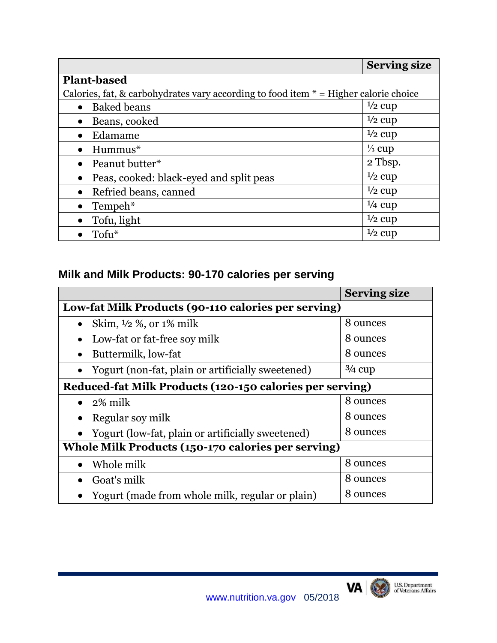|                                                                                        | <b>Serving size</b> |  |
|----------------------------------------------------------------------------------------|---------------------|--|
| <b>Plant-based</b>                                                                     |                     |  |
| Calories, fat, & carbohydrates vary according to food item $* =$ Higher calorie choice |                     |  |
| <b>Baked</b> beans                                                                     | $\frac{1}{2}$ cup   |  |
| Beans, cooked<br>$\bullet$                                                             | $\frac{1}{2}$ cup   |  |
| Edamame<br>$\bullet$                                                                   | $\frac{1}{2}$ cup   |  |
| Hummus*<br>$\bullet$                                                                   | $\frac{1}{3}$ cup   |  |
| Peanut butter*<br>$\bullet$                                                            | 2 Tbsp.             |  |
| Peas, cooked: black-eyed and split peas<br>$\bullet$                                   | $\frac{1}{2}$ cup   |  |
| Refried beans, canned<br>$\bullet$                                                     | $\frac{1}{2}$ cup   |  |
| Tempeh*                                                                                | $\frac{1}{4}$ cup   |  |
| Tofu, light                                                                            | $\frac{1}{2}$ cup   |  |
| Tofu <sup>*</sup>                                                                      | $\frac{1}{2}$ cup   |  |

# **Milk and Milk Products: 90-170 calories per serving**

|                                                                | <b>Serving size</b> |  |
|----------------------------------------------------------------|---------------------|--|
| Low-fat Milk Products (90-110 calories per serving)            |                     |  |
| Skim, $\frac{1}{2}$ %, or $1\%$ milk<br>$\bullet$              | 8 ounces            |  |
| Low-fat or fat-free soy milk<br>$\bullet$                      | 8 ounces            |  |
| Buttermilk, low-fat<br>$\bullet$                               | 8 ounces            |  |
| Yogurt (non-fat, plain or artificially sweetened)<br>$\bullet$ | $3/4$ cup           |  |
| Reduced-fat Milk Products (120-150 calories per serving)       |                     |  |
| 2% milk<br>$\bullet$                                           | 8 ounces            |  |
| Regular soy milk                                               | 8 ounces            |  |
| Yogurt (low-fat, plain or artificially sweetened)              | 8 ounces            |  |
| Whole Milk Products (150-170 calories per serving)             |                     |  |
| Whole milk                                                     | 8 ounces            |  |
| Goat's milk                                                    | 8 ounces            |  |
| Yogurt (made from whole milk, regular or plain)                | 8 ounces            |  |

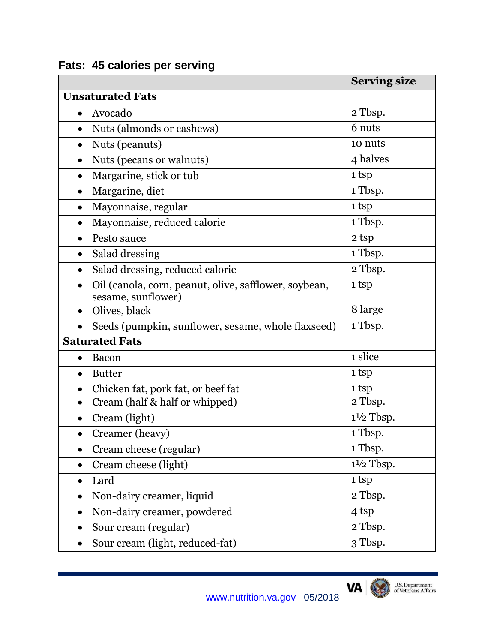|                                                                             | <b>Serving size</b>  |
|-----------------------------------------------------------------------------|----------------------|
| <b>Unsaturated Fats</b>                                                     |                      |
| Avocado<br>$\bullet$                                                        | 2 Tbsp.              |
| Nuts (almonds or cashews)<br>$\bullet$                                      | 6 nuts               |
| Nuts (peanuts)<br>$\bullet$                                                 | 10 nuts              |
| Nuts (pecans or walnuts)<br>$\bullet$                                       | 4 halves             |
| Margarine, stick or tub<br>$\bullet$                                        | 1 tsp                |
| Margarine, diet                                                             | 1 Tbsp.              |
| Mayonnaise, regular<br>$\bullet$                                            | 1 tsp                |
| Mayonnaise, reduced calorie<br>$\bullet$                                    | 1 Tbsp.              |
| Pesto sauce<br>$\bullet$                                                    | 2 tsp                |
| Salad dressing<br>$\bullet$                                                 | 1 Tbsp.              |
| Salad dressing, reduced calorie<br>$\bullet$                                | 2 Tbsp.              |
| Oil (canola, corn, peanut, olive, safflower, soybean,<br>sesame, sunflower) | 1 tsp                |
| Olives, black<br>$\bullet$                                                  | 8 large              |
| Seeds (pumpkin, sunflower, sesame, whole flaxseed)                          | 1 Tbsp.              |
| <b>Saturated Fats</b>                                                       |                      |
| <b>Bacon</b><br>$\bullet$                                                   | 1 slice              |
| <b>Butter</b><br>$\bullet$                                                  | 1 tsp                |
| Chicken fat, pork fat, or beef fat<br>$\bullet$                             | 1 tsp                |
| Cream (half & half or whipped)<br>$\bullet$                                 | 2 Tbsp.              |
| Cream (light)                                                               | $1\frac{1}{2}$ Tbsp. |
| Creamer (heavy)                                                             | 1 Tbsp.              |
| Cream cheese (regular)<br>$\bullet$                                         | 1 Tbsp.              |
| Cream cheese (light)<br>$\bullet$                                           | $1\frac{1}{2}$ Tbsp. |
| Lard<br>$\bullet$                                                           | 1 tsp                |
| Non-dairy creamer, liquid<br>$\bullet$                                      | 2 Tbsp.              |
| Non-dairy creamer, powdered<br>$\bullet$                                    | 4 tsp                |
| Sour cream (regular)                                                        | 2 Tbsp.              |
| Sour cream (light, reduced-fat)                                             | 3 Tbsp.              |

# **Fats: 45 calories per serving**